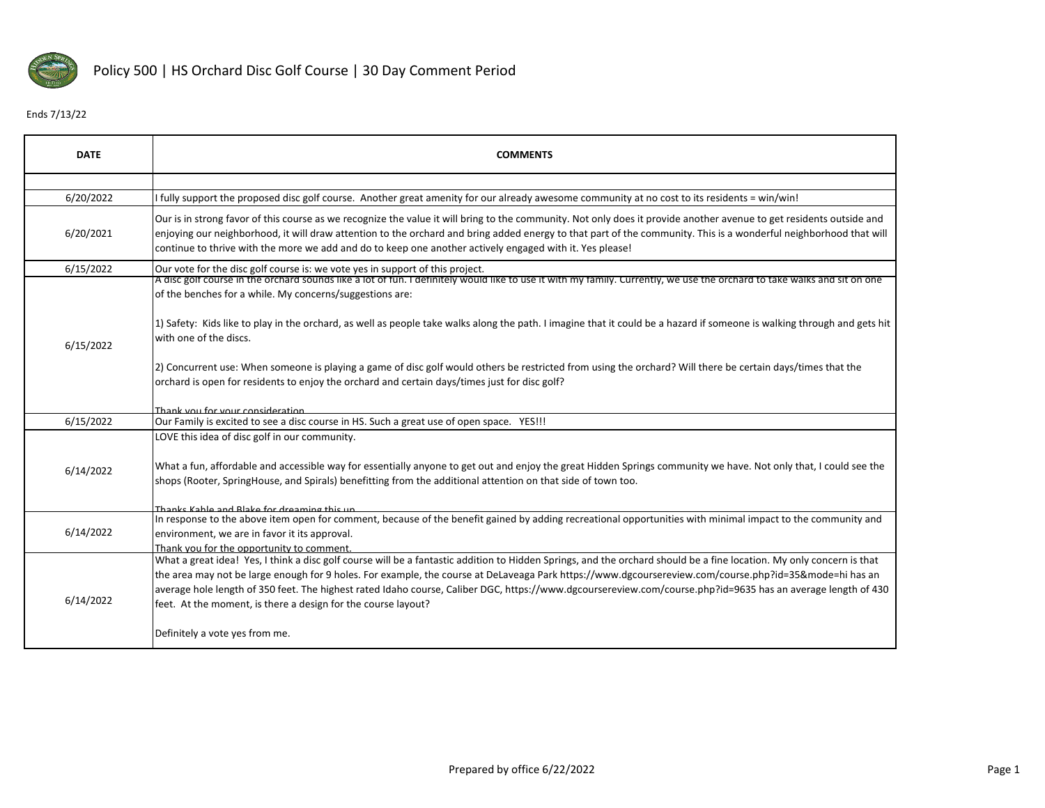

## Ends 7/13/22

| <b>DATE</b> | <b>COMMENTS</b>                                                                                                                                                                                                                                                                                                                                                                                                                                                                                                                                                                                              |
|-------------|--------------------------------------------------------------------------------------------------------------------------------------------------------------------------------------------------------------------------------------------------------------------------------------------------------------------------------------------------------------------------------------------------------------------------------------------------------------------------------------------------------------------------------------------------------------------------------------------------------------|
|             |                                                                                                                                                                                                                                                                                                                                                                                                                                                                                                                                                                                                              |
| 6/20/2022   | fully support the proposed disc golf course. Another great amenity for our already awesome community at no cost to its residents = win/win!                                                                                                                                                                                                                                                                                                                                                                                                                                                                  |
| 6/20/2021   | Our is in strong favor of this course as we recognize the value it will bring to the community. Not only does it provide another avenue to get residents outside and<br>enjoying our neighborhood, it will draw attention to the orchard and bring added energy to that part of the community. This is a wonderful neighborhood that will<br>continue to thrive with the more we add and do to keep one another actively engaged with it. Yes please!                                                                                                                                                        |
| 6/15/2022   | Our vote for the disc golf course is: we vote yes in support of this project.                                                                                                                                                                                                                                                                                                                                                                                                                                                                                                                                |
| 6/15/2022   | A disc golf course in the orchard sounds like a lot of fun. I definitely would like to use it with my family. Currently, we use the orchard to take walks and sit on one<br>of the benches for a while. My concerns/suggestions are:                                                                                                                                                                                                                                                                                                                                                                         |
|             | 1) Safety: Kids like to play in the orchard, as well as people take walks along the path. I imagine that it could be a hazard if someone is walking through and gets hit<br>with one of the discs.                                                                                                                                                                                                                                                                                                                                                                                                           |
|             | [2] Concurrent use: When someone is playing a game of disc golf would others be restricted from using the orchard? Will there be certain days/times that the<br>orchard is open for residents to enjoy the orchard and certain days/times just for disc golf?                                                                                                                                                                                                                                                                                                                                                |
|             | Thank you for your consideration                                                                                                                                                                                                                                                                                                                                                                                                                                                                                                                                                                             |
| 6/15/2022   | Our Family is excited to see a disc course in HS. Such a great use of open space. YES !!!                                                                                                                                                                                                                                                                                                                                                                                                                                                                                                                    |
| 6/14/2022   | LOVE this idea of disc golf in our community.<br>What a fun, affordable and accessible way for essentially anyone to get out and enjoy the great Hidden Springs community we have. Not only that, I could see the<br>shops (Rooter, SpringHouse, and Spirals) benefitting from the additional attention on that side of town too.                                                                                                                                                                                                                                                                            |
|             | Thanks Kahle and Blake for dreaming this un                                                                                                                                                                                                                                                                                                                                                                                                                                                                                                                                                                  |
| 6/14/2022   | In response to the above item open for comment, because of the benefit gained by adding recreational opportunities with minimal impact to the community and                                                                                                                                                                                                                                                                                                                                                                                                                                                  |
|             | environment, we are in favor it its approval.                                                                                                                                                                                                                                                                                                                                                                                                                                                                                                                                                                |
| 6/14/2022   | Thank you for the opportunity to comment<br>What a great idea! Yes, I think a disc golf course will be a fantastic addition to Hidden Springs, and the orchard should be a fine location. My only concern is that<br>the area may not be large enough for 9 holes. For example, the course at DeLaveaga Park https://www.dgcoursereview.com/course.php?id=35&mode=hi has an<br>average hole length of 350 feet. The highest rated Idaho course, Caliber DGC, https://www.dgcoursereview.com/course.php?id=9635 has an average length of 430<br>feet. At the moment, is there a design for the course layout? |
|             | Definitely a vote yes from me.                                                                                                                                                                                                                                                                                                                                                                                                                                                                                                                                                                               |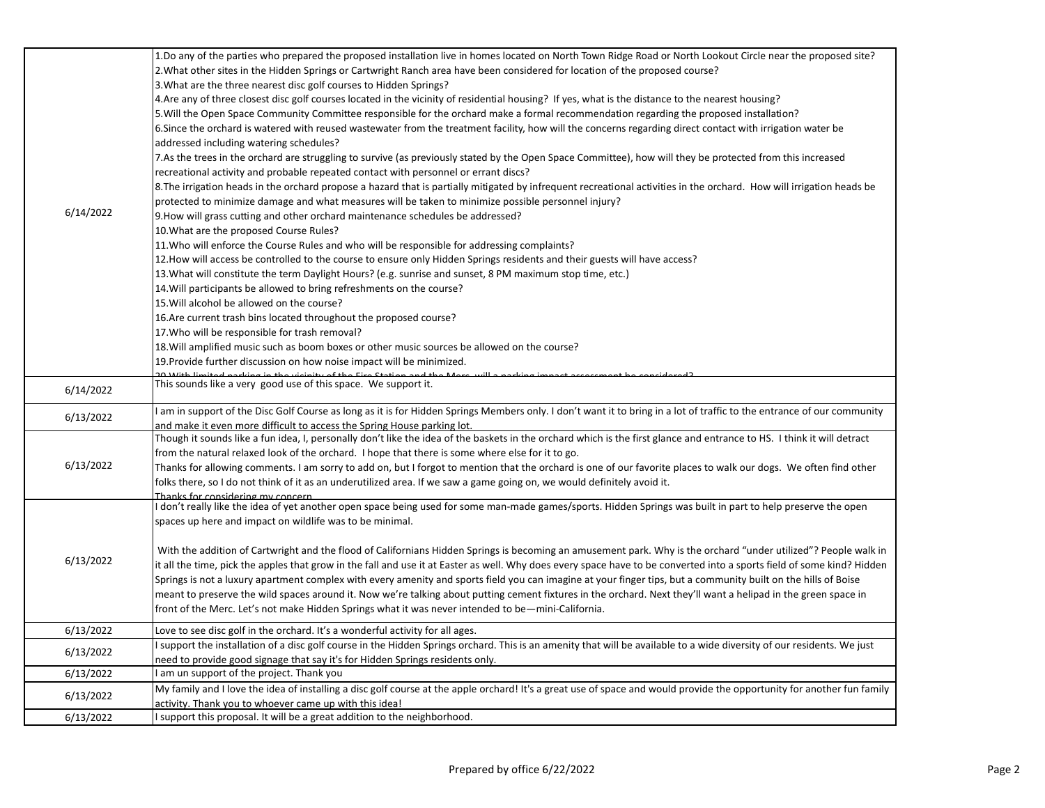| 6/14/2022 | 1.Do any of the parties who prepared the proposed installation live in homes located on North Town Ridge Road or North Lookout Circle near the proposed site?                                   |
|-----------|-------------------------------------------------------------------------------------------------------------------------------------------------------------------------------------------------|
|           | 2. What other sites in the Hidden Springs or Cartwright Ranch area have been considered for location of the proposed course?                                                                    |
|           | 3. What are the three nearest disc golf courses to Hidden Springs?                                                                                                                              |
|           | 4. Are any of three closest disc golf courses located in the vicinity of residential housing? If yes, what is the distance to the nearest housing?                                              |
|           | 5. Will the Open Space Community Committee responsible for the orchard make a formal recommendation regarding the proposed installation?                                                        |
|           | 6. Since the orchard is watered with reused wastewater from the treatment facility, how will the concerns regarding direct contact with irrigation water be                                     |
|           | addressed including watering schedules?                                                                                                                                                         |
|           | 7.As the trees in the orchard are struggling to survive (as previously stated by the Open Space Committee), how will they be protected from this increased                                      |
|           | recreational activity and probable repeated contact with personnel or errant discs?                                                                                                             |
|           | 8. The irrigation heads in the orchard propose a hazard that is partially mitigated by infrequent recreational activities in the orchard. How will irrigation heads be                          |
|           | protected to minimize damage and what measures will be taken to minimize possible personnel injury?                                                                                             |
|           | 9. How will grass cutting and other orchard maintenance schedules be addressed?                                                                                                                 |
|           | 10. What are the proposed Course Rules?                                                                                                                                                         |
|           | 11. Who will enforce the Course Rules and who will be responsible for addressing complaints?                                                                                                    |
|           | 12. How will access be controlled to the course to ensure only Hidden Springs residents and their guests will have access?                                                                      |
|           | 13. What will constitute the term Daylight Hours? (e.g. sunrise and sunset, 8 PM maximum stop time, etc.)                                                                                       |
|           | 14. Will participants be allowed to bring refreshments on the course?                                                                                                                           |
|           | 15. Will alcohol be allowed on the course?                                                                                                                                                      |
|           | 16. Are current trash bins located throughout the proposed course?                                                                                                                              |
|           | 17. Who will be responsible for trash removal?                                                                                                                                                  |
|           | 18. Will amplified music such as boom boxes or other music sources be allowed on the course?                                                                                                    |
|           | 19. Provide further discussion on how noise impact will be minimized.                                                                                                                           |
|           |                                                                                                                                                                                                 |
| 6/14/2022 | This sounds like a very good use of this space. We support it.                                                                                                                                  |
|           |                                                                                                                                                                                                 |
| 6/13/2022 | am in support of the Disc Golf Course as long as it is for Hidden Springs Members only. I don't want it to bring in a lot of traffic to the entrance of our community                           |
|           | and make it even more difficult to access the Spring House parking lot.                                                                                                                         |
|           | Though it sounds like a fun idea, I, personally don't like the idea of the baskets in the orchard which is the first glance and entrance to HS. I think it will detract                         |
|           | from the natural relaxed look of the orchard. I hope that there is some where else for it to go.                                                                                                |
| 6/13/2022 | Thanks for allowing comments. I am sorry to add on, but I forgot to mention that the orchard is one of our favorite places to walk our dogs. We often find other                                |
|           | folks there, so I do not think of it as an underutilized area. If we saw a game going on, we would definitely avoid it.                                                                         |
| 6/13/2022 | Thanks for considering my concern<br>don't really like the idea of yet another open space being used for some man-made games/sports. Hidden Springs was built in part to help preserve the open |
|           | spaces up here and impact on wildlife was to be minimal.                                                                                                                                        |
|           |                                                                                                                                                                                                 |
|           |                                                                                                                                                                                                 |
|           | With the addition of Cartwright and the flood of Californians Hidden Springs is becoming an amusement park. Why is the orchard "under utilized"? People walk in                                 |
|           | it all the time, pick the apples that grow in the fall and use it at Easter as well. Why does every space have to be converted into a sports field of some kind? Hidden                         |
|           | Springs is not a luxury apartment complex with every amenity and sports field you can imagine at your finger tips, but a community built on the hills of Boise                                  |
|           | meant to preserve the wild spaces around it. Now we're talking about putting cement fixtures in the orchard. Next they'll want a helipad in the green space in                                  |
|           | front of the Merc. Let's not make Hidden Springs what it was never intended to be—mini-California.                                                                                              |
| 6/13/2022 | Love to see disc golf in the orchard. It's a wonderful activity for all ages.                                                                                                                   |
| 6/13/2022 | support the installation of a disc golf course in the Hidden Springs orchard. This is an amenity that will be available to a wide diversity of our residents. We just                           |
|           | need to provide good signage that say it's for Hidden Springs residents only.                                                                                                                   |
| 6/13/2022 | am un support of the project. Thank you                                                                                                                                                         |
| 6/13/2022 | My family and I love the idea of installing a disc golf course at the apple orchard! It's a great use of space and would provide the opportunity for another fun family                         |
|           | activity. Thank you to whoever came up with this idea!                                                                                                                                          |
| 6/13/2022 | support this proposal. It will be a great addition to the neighborhood.                                                                                                                         |